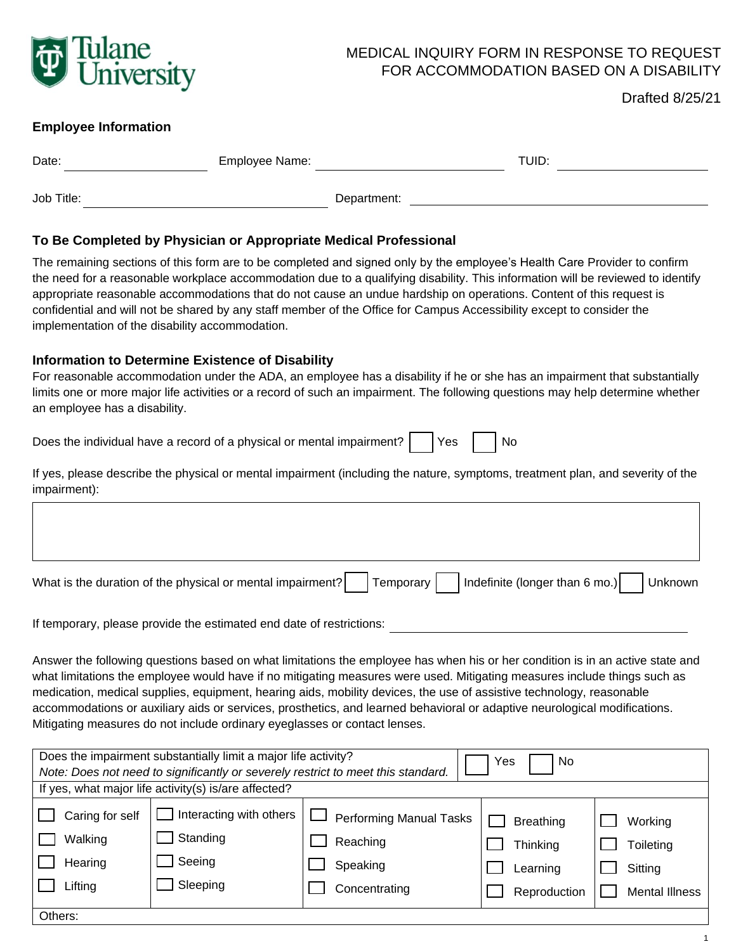

## MEDICAL INQUIRY FORM IN RESPONSE TO REQUEST FOR ACCOMMODATION BASED ON A DISABILITY

Drafted 8/25/21

### **Employee Information**

| Date:      | Employee Name: |             | TUID: |  |
|------------|----------------|-------------|-------|--|
| Job Title: |                | Department: |       |  |

## **To Be Completed by Physician or Appropriate Medical Professional**

The remaining sections of this form are to be completed and signed only by the employee's Health Care Provider to confirm the need for a reasonable workplace accommodation due to a qualifying disability. This information will be reviewed to identify appropriate reasonable accommodations that do not cause an undue hardship on operations. Content of this request is confidential and will not be shared by any staff member of the Office for Campus Accessibility except to consider the implementation of the disability accommodation.

# **Information to Determine Existence of Disability**

For reasonable accommodation under the ADA, an employee has a disability if he or she has an impairment that substantially limits one or more major life activities or a record of such an impairment. The following questions may help determine whether an employee has a disability.

Does the individual have a record of a physical or mental impairment? Yes No

If yes, please describe the physical or mental impairment (including the nature, symptoms, treatment plan, and severity of the impairment):

| What is the duration of the physical or mental impairment? Temporary Indefinite (longer than 6 mo.) Unknown |  |  |  |
|-------------------------------------------------------------------------------------------------------------|--|--|--|
|                                                                                                             |  |  |  |

If temporary, please provide the estimated end date of restrictions:

Answer the following questions based on what limitations the employee has when his or her condition is in an active state and what limitations the employee would have if no mitigating measures were used. Mitigating measures include things such as medication, medical supplies, equipment, hearing aids, mobility devices, the use of assistive technology, reasonable accommodations or auxiliary aids or services, prosthetics, and learned behavioral or adaptive neurological modifications. Mitigating measures do not include ordinary eyeglasses or contact lenses.

| Does the impairment substantially limit a major life activity?<br>Yes<br><b>No</b><br>Note: Does not need to significantly or severely restrict to meet this standard.<br>If yes, what major life activity(s) is/are affected? |                                                           |                                                                         |                                                          |                                                          |  |
|--------------------------------------------------------------------------------------------------------------------------------------------------------------------------------------------------------------------------------|-----------------------------------------------------------|-------------------------------------------------------------------------|----------------------------------------------------------|----------------------------------------------------------|--|
| Caring for self<br>Walking<br>Hearing<br>Lifting                                                                                                                                                                               | Interacting with others<br>Standing<br>Seeing<br>Sleeping | <b>Performing Manual Tasks</b><br>Reaching<br>Speaking<br>Concentrating | <b>Breathing</b><br>Thinking<br>Learning<br>Reproduction | Working<br>Toileting<br>Sitting<br><b>Mental Illness</b> |  |
| Others:                                                                                                                                                                                                                        |                                                           |                                                                         |                                                          |                                                          |  |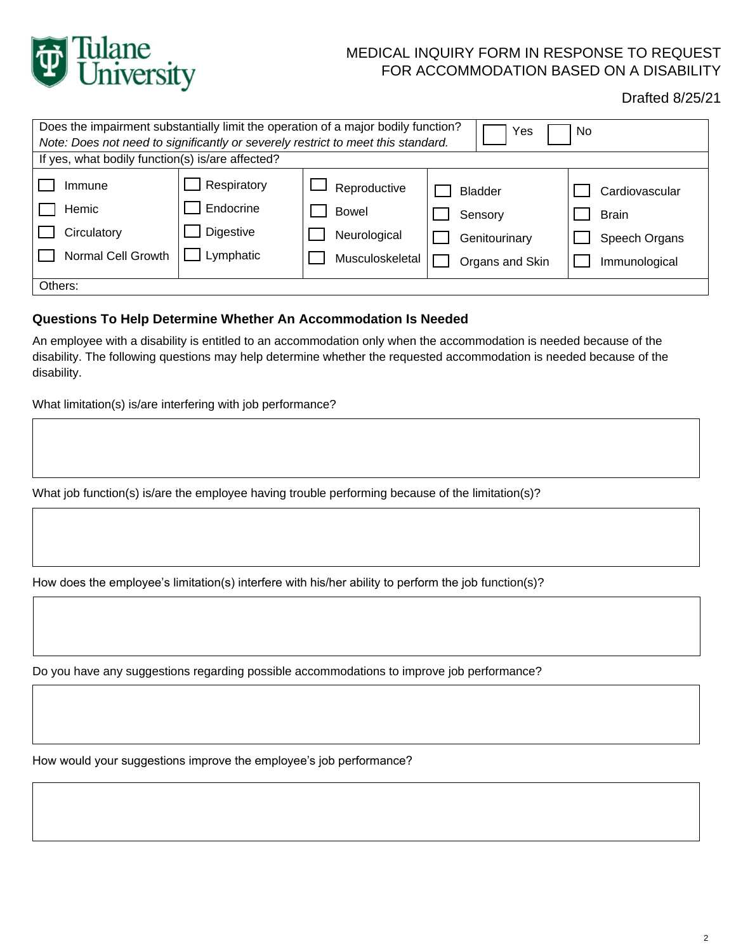

# MEDICAL INQUIRY FORM IN RESPONSE TO REQUEST FOR ACCOMMODATION BASED ON A DISABILITY

Drafted 8/25/21

| Does the impairment substantially limit the operation of a major bodily function?<br>No.<br>Yes |                          |                              |                           |                                |  |
|-------------------------------------------------------------------------------------------------|--------------------------|------------------------------|---------------------------|--------------------------------|--|
| Note: Does not need to significantly or severely restrict to meet this standard.                |                          |                              |                           |                                |  |
| If yes, what bodily function(s) is/are affected?                                                |                          |                              |                           |                                |  |
| Immune<br>Hemic                                                                                 | Respiratory<br>Endocrine | Reproductive<br><b>Bowel</b> | <b>Bladder</b><br>Sensory | Cardiovascular<br><b>Brain</b> |  |
| Circulatory                                                                                     | Digestive                | Neurological                 | Genitourinary             | Speech Organs                  |  |
| Normal Cell Growth                                                                              | Lymphatic                | Musculoskeletal              | Organs and Skin           | Immunological                  |  |
| Others:                                                                                         |                          |                              |                           |                                |  |

#### **Questions To Help Determine Whether An Accommodation Is Needed**

An employee with a disability is entitled to an accommodation only when the accommodation is needed because of the disability. The following questions may help determine whether the requested accommodation is needed because of the disability.

What limitation(s) is/are interfering with job performance?

What job function(s) is/are the employee having trouble performing because of the limitation(s)?

How does the employee's limitation(s) interfere with his/her ability to perform the job function(s)?

Do you have any suggestions regarding possible accommodations to improve job performance?

How would your suggestions improve the employee's job performance?